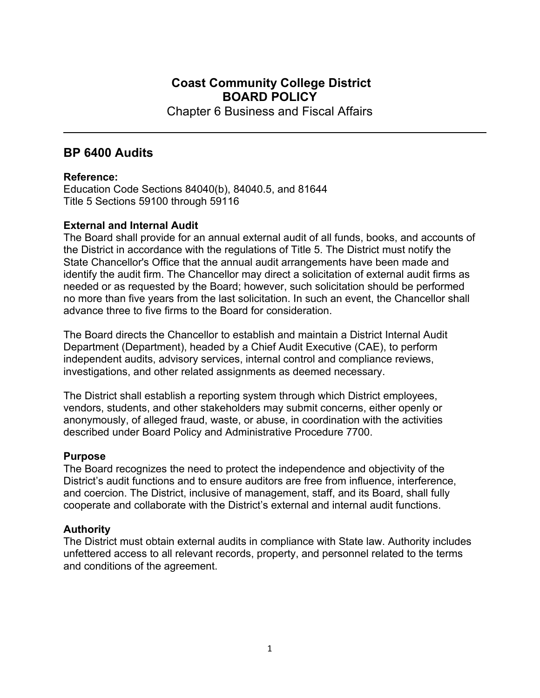# **Coast Community College District BOARD POLICY**

Chapter 6 Business and Fiscal Affairs

## **BP 6400 Audits**

#### **Reference:**

Education Code Sections 84040(b), 84040.5, and 81644 Title 5 Sections 59100 through 59116

## **External and Internal Audit**

The Board shall provide for an annual external audit of all funds, books, and accounts of the District in accordance with the regulations of Title 5. The District must notify the State Chancellor's Office that the annual audit arrangements have been made and identify the audit firm. The Chancellor may direct a solicitation of external audit firms as needed or as requested by the Board; however, such solicitation should be performed no more than five years from the last solicitation. In such an event, the Chancellor shall advance three to five firms to the Board for consideration.

The Board directs the Chancellor to establish and maintain a District Internal Audit Department (Department), headed by a Chief Audit Executive (CAE), to perform independent audits, advisory services, internal control and compliance reviews, investigations, and other related assignments as deemed necessary.

The District shall establish a reporting system through which District employees, vendors, students, and other stakeholders may submit concerns, either openly or anonymously, of alleged fraud, waste, or abuse, in coordination with the activities described under Board Policy and Administrative Procedure 7700.

## **Purpose**

The Board recognizes the need to protect the independence and objectivity of the District's audit functions and to ensure auditors are free from influence, interference, and coercion. The District, inclusive of management, staff, and its Board, shall fully cooperate and collaborate with the District's external and internal audit functions.

## **Authority**

The District must obtain external audits in compliance with State law. Authority includes unfettered access to all relevant records, property, and personnel related to the terms and conditions of the agreement.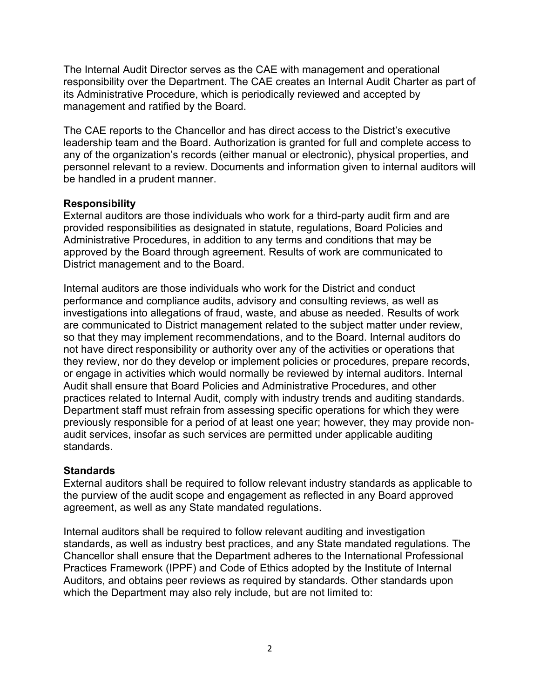The Internal Audit Director serves as the CAE with management and operational responsibility over the Department. The CAE creates an Internal Audit Charter as part of its Administrative Procedure, which is periodically reviewed and accepted by management and ratified by the Board.

The CAE reports to the Chancellor and has direct access to the District's executive leadership team and the Board. Authorization is granted for full and complete access to any of the organization's records (either manual or electronic), physical properties, and personnel relevant to a review. Documents and information given to internal auditors will be handled in a prudent manner.

#### **Responsibility**

External auditors are those individuals who work for a third-party audit firm and are provided responsibilities as designated in statute, regulations, Board Policies and Administrative Procedures, in addition to any terms and conditions that may be approved by the Board through agreement. Results of work are communicated to District management and to the Board.

Internal auditors are those individuals who work for the District and conduct performance and compliance audits, advisory and consulting reviews, as well as investigations into allegations of fraud, waste, and abuse as needed. Results of work are communicated to District management related to the subject matter under review, so that they may implement recommendations, and to the Board. Internal auditors do not have direct responsibility or authority over any of the activities or operations that they review, nor do they develop or implement policies or procedures, prepare records, or engage in activities which would normally be reviewed by internal auditors. Internal Audit shall ensure that Board Policies and Administrative Procedures, and other practices related to Internal Audit, comply with industry trends and auditing standards. Department staff must refrain from assessing specific operations for which they were previously responsible for a period of at least one year; however, they may provide nonaudit services, insofar as such services are permitted under applicable auditing standards.

#### **Standards**

External auditors shall be required to follow relevant industry standards as applicable to the purview of the audit scope and engagement as reflected in any Board approved agreement, as well as any State mandated regulations.

Internal auditors shall be required to follow relevant auditing and investigation standards, as well as industry best practices, and any State mandated regulations. The Chancellor shall ensure that the Department adheres to the International Professional Practices Framework (IPPF) and Code of Ethics adopted by the Institute of Internal Auditors, and obtains peer reviews as required by standards. Other standards upon which the Department may also rely include, but are not limited to: